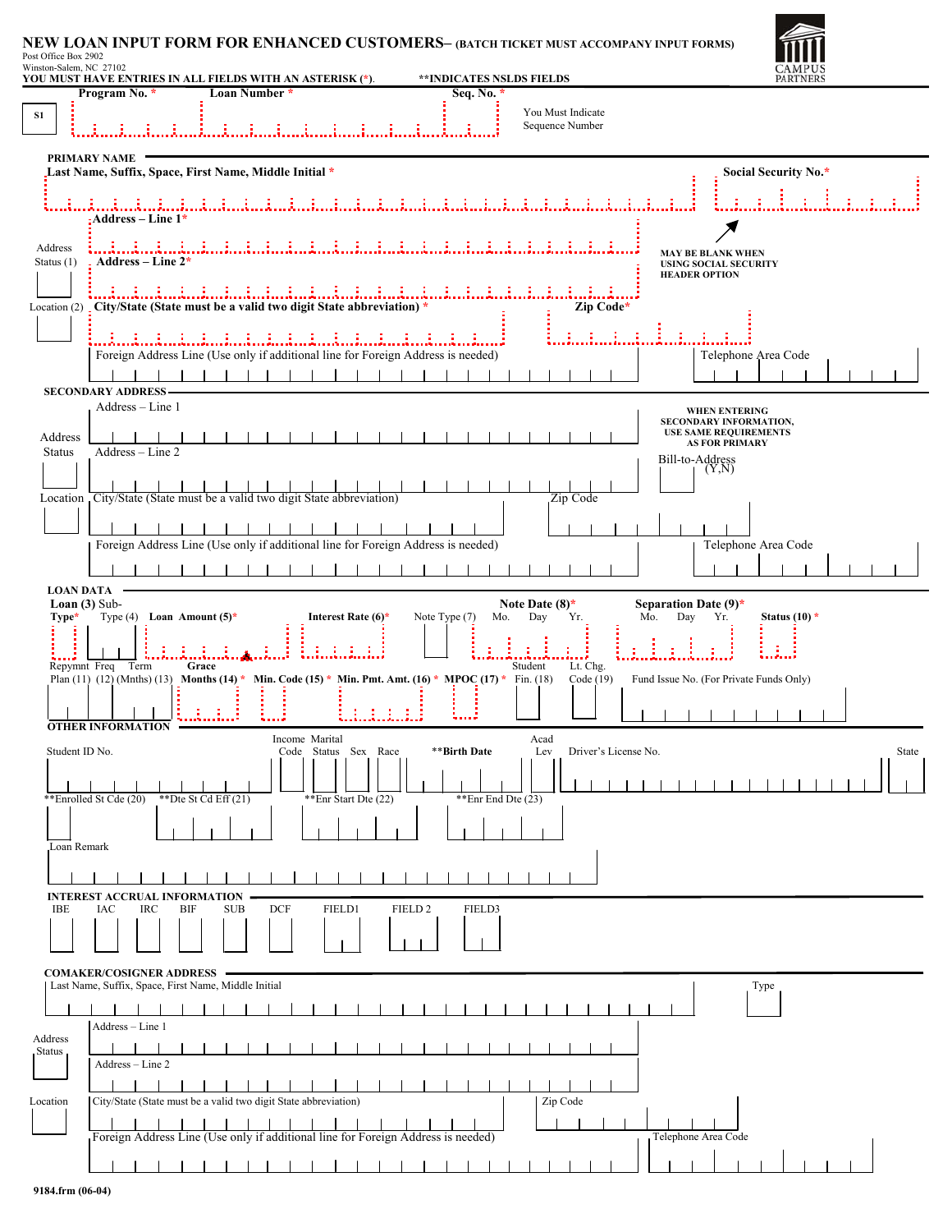## **NEW LOAN INPUT FORM FOR ENHANCED CUSTOMERS– (BATCH TICKET MUST ACCOMPANY INPUT FORMS)** Post Office Box 2902<br>Winston-Salem, NC 27102<br>YOU MUST HAVE ENTRIES IN ALL FIELDS WITH AN ASTERISK (\*). **\*\*INDICATES NSLDS FIELDS**



| Post Office Box 2902         |  |  |
|------------------------------|--|--|
| $WU = 1 - 0.1 - 0.1 - 0.071$ |  |  |

|                                                                                                                                                                              | Program No. *                                                                           | Loan Number *                                                                                       |                                              | Seq. No.                           |                                      |                                                                                                     |  |  |  |
|------------------------------------------------------------------------------------------------------------------------------------------------------------------------------|-----------------------------------------------------------------------------------------|-----------------------------------------------------------------------------------------------------|----------------------------------------------|------------------------------------|--------------------------------------|-----------------------------------------------------------------------------------------------------|--|--|--|
| S1                                                                                                                                                                           |                                                                                         |                                                                                                     |                                              |                                    | You Must Indicate<br>Sequence Number |                                                                                                     |  |  |  |
|                                                                                                                                                                              |                                                                                         |                                                                                                     |                                              |                                    |                                      |                                                                                                     |  |  |  |
|                                                                                                                                                                              | PRIMARY NAME                                                                            | Last Name, Suffix, Space, First Name, Middle Initial *                                              |                                              |                                    |                                      | Social Security No.*                                                                                |  |  |  |
|                                                                                                                                                                              | : Address – Line $1*$                                                                   |                                                                                                     |                                              |                                    |                                      |                                                                                                     |  |  |  |
|                                                                                                                                                                              | Address<br>- Address – Line 2*<br>Status $(1)$                                          |                                                                                                     |                                              |                                    |                                      | <b>MAY BE BLANK WHEN</b><br><b>USING SOCIAL SECURITY</b><br><b>HEADER OPTION</b>                    |  |  |  |
|                                                                                                                                                                              |                                                                                         | しゅうはいはいはいはい はいは<br>Location (2) _ City/State (State must be a valid two digit State abbreviation) * | .                                            |                                    | Zip Code*                            |                                                                                                     |  |  |  |
|                                                                                                                                                                              |                                                                                         | Foreign Address Line (Use only if additional line for Foreign Address is needed)                    |                                              |                                    |                                      | Telephone Area Code                                                                                 |  |  |  |
|                                                                                                                                                                              | <b>SECONDARY ADDRESS-</b>                                                               | .                                                                                                   | $\sim$ 1 $\sim$ 1                            |                                    |                                      |                                                                                                     |  |  |  |
|                                                                                                                                                                              | Address – Line 1                                                                        |                                                                                                     |                                              |                                    |                                      | <b>WHEN ENTERING</b>                                                                                |  |  |  |
|                                                                                                                                                                              | Address<br>Address - Line 2<br><b>Status</b>                                            |                                                                                                     |                                              |                                    |                                      | SECONDARY INFORMATION,<br><b>USE SAME REQUIREMENTS</b><br><b>AS FOR PRIMARY</b>                     |  |  |  |
|                                                                                                                                                                              |                                                                                         | Location City/State (State must be a valid two digit State abbreviation)                            |                                              |                                    | Zip Code                             | Bill-to-Address<br>$\begin{bmatrix} \n\end{bmatrix}$ $\begin{bmatrix} (Y,N) \\ (Y,N) \end{bmatrix}$ |  |  |  |
|                                                                                                                                                                              |                                                                                         |                                                                                                     |                                              |                                    |                                      |                                                                                                     |  |  |  |
|                                                                                                                                                                              |                                                                                         | Foreign Address Line (Use only if additional line for Foreign Address is needed)                    |                                              |                                    |                                      | Telephone Area Code                                                                                 |  |  |  |
|                                                                                                                                                                              |                                                                                         |                                                                                                     |                                              |                                    |                                      |                                                                                                     |  |  |  |
|                                                                                                                                                                              | <b>LOAN DATA</b><br>Loan $(3)$ Sub-<br>Type*<br>Type (4) Loan Amount $(5)^*$            |                                                                                                     | Interest Rate $(6)$ *                        | Note Type (7)<br>Mo.               | Note Date $(8)^*$<br>Day<br>Yr.      | Separation Date $(9)^*$<br>Mo.<br>Day<br>Yr.<br>Status $(10)$ *                                     |  |  |  |
| ÷.<br>8 B B B<br>Repymnt Freq Term<br>Grace<br>Student<br>Lt. Chg.<br>Plan (11) (12) (Mnths) (13) Months (14) * Min. Code (15) * Min. Pmt. Amt. (16) * MPOC (17) * Fin. (18) |                                                                                         |                                                                                                     |                                              |                                    |                                      |                                                                                                     |  |  |  |
|                                                                                                                                                                              |                                                                                         |                                                                                                     |                                              |                                    | Code (19)                            | Fund Issue No. (For Private Funds Only)                                                             |  |  |  |
|                                                                                                                                                                              | <b>OTHER INFORMATION</b>                                                                | Income Marital                                                                                      |                                              |                                    | Acad                                 |                                                                                                     |  |  |  |
|                                                                                                                                                                              | Student ID No.<br>**Enrolled St Cde (20)                                                | **Dte St Cd Eff $(21)$                                                                              | Code Status Sex Race<br>**Enr Start Dte (22) | **Birth Date<br>**Enr End Dte (23) | Driver's License No.<br>Lev          | State                                                                                               |  |  |  |
|                                                                                                                                                                              |                                                                                         |                                                                                                     |                                              |                                    |                                      |                                                                                                     |  |  |  |
| Loan Remark                                                                                                                                                                  |                                                                                         |                                                                                                     |                                              |                                    |                                      |                                                                                                     |  |  |  |
|                                                                                                                                                                              | <b>INTEREST ACCRUAL INFORMATION</b>                                                     |                                                                                                     |                                              |                                    |                                      |                                                                                                     |  |  |  |
|                                                                                                                                                                              | <b>IBE</b><br>IAC<br><b>IRC</b>                                                         | <b>DCF</b><br>BIF<br><b>SUB</b>                                                                     | FIELD1<br>FIELD <sub>2</sub>                 | FIELD3                             |                                      |                                                                                                     |  |  |  |
|                                                                                                                                                                              | <b>COMAKER/COSIGNER ADDRESS</b><br>Last Name, Suffix, Space, First Name, Middle Initial |                                                                                                     |                                              |                                    |                                      | Type                                                                                                |  |  |  |
|                                                                                                                                                                              | Address - Line 1                                                                        |                                                                                                     |                                              |                                    |                                      |                                                                                                     |  |  |  |
| Address<br>Status                                                                                                                                                            | Address - Line 2                                                                        |                                                                                                     |                                              |                                    |                                      |                                                                                                     |  |  |  |
| Location                                                                                                                                                                     |                                                                                         | City/State (State must be a valid two digit State abbreviation)                                     |                                              |                                    | Zip Code                             |                                                                                                     |  |  |  |
|                                                                                                                                                                              |                                                                                         | Foreign Address Line (Use only if additional line for Foreign Address is needed)                    |                                              |                                    |                                      | Telephone Area Code                                                                                 |  |  |  |
|                                                                                                                                                                              |                                                                                         |                                                                                                     |                                              |                                    |                                      |                                                                                                     |  |  |  |
|                                                                                                                                                                              |                                                                                         |                                                                                                     |                                              |                                    |                                      |                                                                                                     |  |  |  |